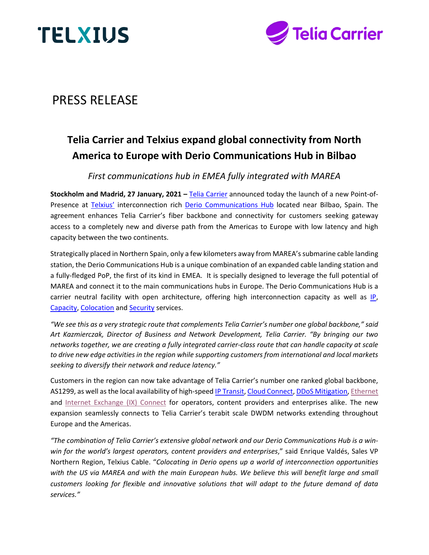



# PRESS RELEASE

# **Telia Carrier and Telxius expand global connectivity from North America to Europe with Derio Communications Hub in Bilbao**

*First communications hub in EMEA fully integrated with MAREA*

**Stockholm and Madrid, 27 January, 2021 –** [Telia Carrier](https://www.teliacarrier.com/) announced today the launch of a new Point-of-Presence at [Telxius'](https://telxius.com/en/inicio-en/) interconnection rich [Derio Communications Hub](https://telxius.com/en/cable-business/derio/) located near Bilbao, Spain. The agreement enhances Telia Carrier's fiber backbone and connectivity for customers seeking gateway access to a completely new and diverse path from the Americas to Europe with low latency and high capacity between the two continents.

Strategically placed in Northern Spain, only a few kilometers away from MAREA's submarine cable landing station, the Derio Communications Hub is a unique combination of an expanded cable landing station and a fully-fledged PoP, the first of its kind in EMEA. It is specially designed to leverage the full potential of MAREA and connect it to the main communications hubs in Europe. The Derio Communications Hub is a carrier neutral facility with open architecture, offering high interconnection capacity as well as [IP,](https://telxius.com/en/cable-business/ip/internet-transit/) [Capacity,](https://telxius.com/en/cable-business/capacity/global-carrier-ethernet/) [Colocation](https://telxius.com/en/cable-business/colocation/colocation/) and [Security](https://telxius.com/en/cable-business/security/ddos-shield/) services.

*"We see this as a very strategic route that complements Telia Carrier's number one global backbone," said Art Kazmierczak, Director of Business and Network Development, Telia Carrier. "By bringing our two networks together, we are creating a fully integrated carrier-class route that can handle capacity at scale to drive new edge activities in the region while supporting customers from international and local markets seeking to diversify their network and reduce latency."* 

Customers in the region can now take advantage of Telia Carrier's number one ranked global backbone, AS1299, as well as the local availability of high-speed [IP Transit,](https://www.teliacarrier.com/products-and-services/internet-and-cloud/ip-transit.html) [Cloud Connect,](https://www.teliacarrier.com/products-and-services/internet-and-cloud/cloud-connect.html) [DDoS Mitigation,](https://www.teliacarrier.com/products-and-services/internet-and-cloud/ddos-mitigation.html) [Ethernet](https://www.teliacarrier.com/products-and-services/networking/ethernet.html) and [Internet Exchange \(IX\) Connect](https://www.teliacarrier.com/products-and-services/internet-and-cloud/internet-exchange-connect.html) for operators, content providers and enterprises alike. The new expansion seamlessly connects to Telia Carrier's terabit scale DWDM networks extending throughout Europe and the Americas.

*"The combination of Telia Carrier's extensive global network and our Derio Communications Hub is a winwin for the world's largest operators, content providers and enterprises*," said Enrique Valdés, Sales VP Northern Region, Telxius Cable. "*Colocating in Derio opens up a world of interconnection opportunities with the US via MAREA and with the main European hubs. We believe this will benefit large and small customers looking for flexible and innovative solutions that will adapt to the future demand of data services."*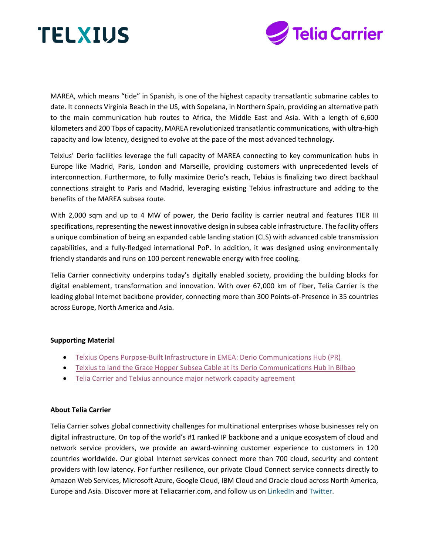



MAREA, which means "tide" in Spanish, is one of the highest capacity transatlantic submarine cables to date. It connects Virginia Beach in the US, with Sopelana, in Northern Spain, providing an alternative path to the main communication hub routes to Africa, the Middle East and Asia. With a length of 6,600 kilometers and 200 Tbps of capacity, MAREA revolutionized transatlantic communications, with ultra-high capacity and low latency, designed to evolve at the pace of the most advanced technology.

Telxius' Derio facilities leverage the full capacity of MAREA connecting to key communication hubs in Europe like Madrid, Paris, London and Marseille, providing customers with unprecedented levels of interconnection. Furthermore, to fully maximize Derio's reach, Telxius is finalizing two direct backhaul connections straight to Paris and Madrid, leveraging existing Telxius infrastructure and adding to the benefits of the MAREA subsea route.

With 2,000 sqm and up to 4 MW of power, the Derio facility is carrier neutral and features TIER III specifications, representing the newest innovative design in subsea cable infrastructure. The facility offers a unique combination of being an expanded cable landing station (CLS) with advanced cable transmission capabilities, and a fully-fledged international PoP. In addition, it was designed using environmentally friendly standards and runs on 100 percent renewable energy with free cooling.

Telia Carrier connectivity underpins today's digitally enabled society, providing the building blocks for digital enablement, transformation and innovation. With over 67,000 km of fiber, Telia Carrier is the leading global Internet backbone provider, connecting more than 300 Points-of-Presence in 35 countries across Europe, North America and Asia.

#### **Supporting Material**

- [Telxius Opens Purpose-Built Infrastructure in EMEA: Derio Communications Hub \(PR\)](https://telxius.com/en/telxius-opens-purpose-built-infrastructure-in-emea-derio-communications-hub/)
- [Telxius to land the Grace Hopper Subsea Cable at its Derio Communications Hub in Bilbao](https://telxius.com/en/telxius-to-land-the-grace-hopper-subsea-cable-at-derio/)
- [Telia Carrier and Telxius announce major network capacity agreement](https://www.teliacarrier.com/about-us/press-releases/telia-carrier-telxius_announce_major_network_capacity_agreement.html)

# **About Telia Carrier**

Telia Carrier solves global connectivity challenges for multinational enterprises whose businesses rely on digital infrastructure. On top of the world's #1 ranked IP backbone and a unique ecosystem of cloud and network service providers, we provide an award-winning customer experience to customers in 120 countries worldwide. Our global Internet services connect more than 700 cloud, security and content providers with low latency. For further resilience, our private Cloud Connect service connects directly to Amazon Web Services, Microsoft Azure, Google Cloud, IBM Cloud and Oracle cloud across North America, Europe and Asia. Discover more at [Teliacarrier.com,](http://www.teliacarrier.com/) and follow us on [LinkedIn](https://www.linkedin.com/company/telia-carrier) and [Twitter.](https://twitter.com/teliacarrier)